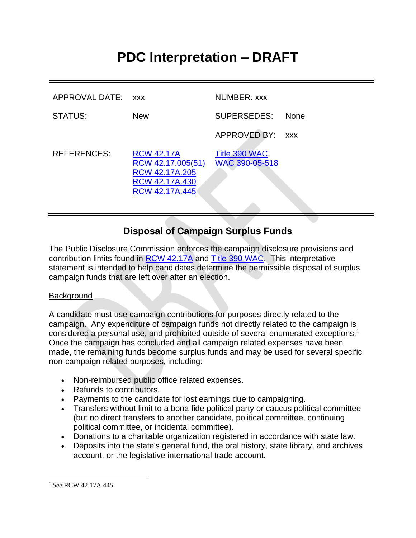# **PDC Interpretation – DRAFT**

| APPROVAL DATE: XXX |                                                                                              | NUMBER: xxx                     |             |
|--------------------|----------------------------------------------------------------------------------------------|---------------------------------|-------------|
| <b>STATUS:</b>     | <b>New</b>                                                                                   | SUPERSEDES:                     | <b>None</b> |
|                    |                                                                                              | APPROVED BY:                    | <b>XXX</b>  |
| <b>REFERENCES:</b> | <b>RCW 42.17A</b><br>RCW 42.17.005(51)<br>RCW 42.17A.205<br>RCW 42.17A.430<br>RCW 42.17A.445 | Title 390 WAC<br>WAC 390-05-518 |             |

# **Disposal of Campaign Surplus Funds**

The Public Disclosure Commission enforces the campaign disclosure provisions and contribution limits found in [RCW 42.17A](http://apps.leg.wa.gov/rcw/default.aspx?cite=42.17A) and [Title 390 WAC.](http://apps.leg.wa.gov/wac/default.aspx?cite=390) This interpretative statement is intended to help candidates determine the permissible disposal of surplus campaign funds that are left over after an election.

#### **Background**

A candidate must use campaign contributions for purposes directly related to the campaign. Any expenditure of campaign funds not directly related to the campaign is considered a personal use, and prohibited outside of several enumerated exceptions. 1 Once the campaign has concluded and all campaign related expenses have been made, the remaining funds become surplus funds and may be used for several specific non-campaign related purposes, including:

- Non-reimbursed public office related expenses.
- Refunds to contributors.
- Payments to the candidate for lost earnings due to campaigning.
- Transfers without limit to a bona fide political party or caucus political committee (but no direct transfers to another candidate, political committee, continuing political committee, or incidental committee).
- Donations to a charitable organization registered in accordance with state law.
- Deposits into the state's general fund, the oral history, state library, and archives account, or the legislative international trade account.

<sup>1</sup> *See* RCW 42.17A.445.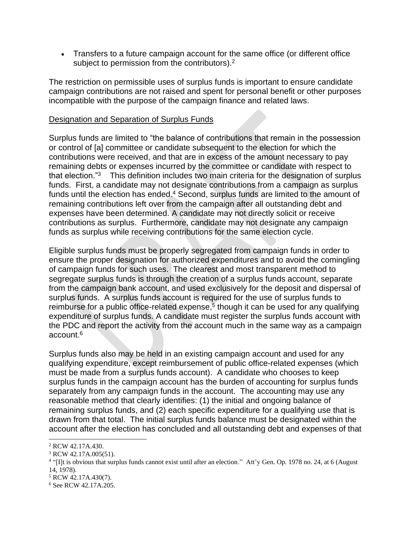• Transfers to a future campaign account for the same office (or different office subject to permission from the contributors).<sup>2</sup>

The restriction on permissible uses of surplus funds is important to ensure candidate campaign contributions are not raised and spent for personal benefit or other purposes incompatible with the purpose of the campaign finance and related laws.

#### Designation and Separation of Surplus Funds

Surplus funds are limited to "the balance of contributions that remain in the possession or control of [a] committee or candidate subsequent to the election for which the contributions were received, and that are in excess of the amount necessary to pay remaining debts or expenses incurred by the committee or candidate with respect to that election."<sup>3</sup> This definition includes two main criteria for the designation of surplus funds. First, a candidate may not designate contributions from a campaign as surplus funds until the election has ended.<sup>4</sup> Second, surplus funds are limited to the amount of remaining contributions left over from the campaign after all outstanding debt and expenses have been determined. A candidate may not directly solicit or receive contributions as surplus. Furthermore, candidate may not designate any campaign funds as surplus while receiving contributions for the same election cycle.

Eligible surplus funds must be properly segregated from campaign funds in order to ensure the proper designation for authorized expenditures and to avoid the comingling of campaign funds for such uses. The clearest and most transparent method to segregate surplus funds is through the creation of a surplus funds account, separate from the campaign bank account, and used exclusively for the deposit and dispersal of surplus funds. A surplus funds account is required for the use of surplus funds to reimburse for a public office-related expense,<sup>5</sup> though it can be used for any qualifying expenditure of surplus funds. A candidate must register the surplus funds account with the PDC and report the activity from the account much in the same way as a campaign account.<sup>6</sup>

Surplus funds also may be held in an existing campaign account and used for any qualifying expenditure, except reimbursement of public office-related expenses (which must be made from a surplus funds account). A candidate who chooses to keep surplus funds in the campaign account has the burden of accounting for surplus funds separately from any campaign funds in the account. The accounting may use any reasonable method that clearly identifies: (1) the initial and ongoing balance of remaining surplus funds, and (2) each specific expenditure for a qualifying use that is drawn from that total. The initial surplus funds balance must be designated within the account after the election has concluded and all outstanding debt and expenses of that

<sup>2</sup> RCW 42.17A.430.

<sup>3</sup> RCW 42.17A.005(51).

<sup>&</sup>lt;sup>4</sup> "[I]t is obvious that surplus funds cannot exist until after an election." Att'y Gen. Op. 1978 no. 24, at 6 (August 14, 1978).

<sup>5</sup> RCW 42.17A.430(7).

<sup>6</sup> See RCW 42.17A.205.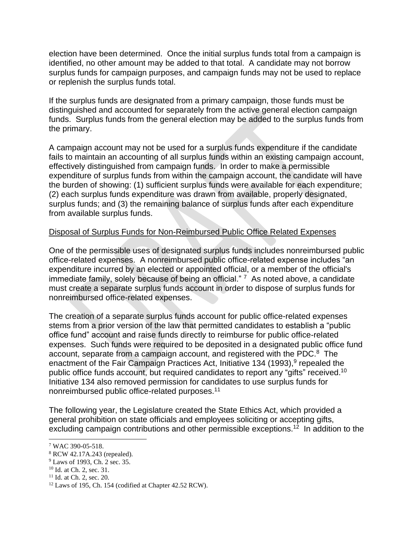election have been determined. Once the initial surplus funds total from a campaign is identified, no other amount may be added to that total. A candidate may not borrow surplus funds for campaign purposes, and campaign funds may not be used to replace or replenish the surplus funds total.

If the surplus funds are designated from a primary campaign, those funds must be distinguished and accounted for separately from the active general election campaign funds. Surplus funds from the general election may be added to the surplus funds from the primary.

A campaign account may not be used for a surplus funds expenditure if the candidate fails to maintain an accounting of all surplus funds within an existing campaign account, effectively distinguished from campaign funds. In order to make a permissible expenditure of surplus funds from within the campaign account, the candidate will have the burden of showing: (1) sufficient surplus funds were available for each expenditure; (2) each surplus funds expenditure was drawn from available, properly designated, surplus funds; and (3) the remaining balance of surplus funds after each expenditure from available surplus funds.

### Disposal of Surplus Funds for Non-Reimbursed Public Office Related Expenses

One of the permissible uses of designated surplus funds includes nonreimbursed public office-related expenses. A nonreimbursed public office-related expense includes "an expenditure incurred by an elected or appointed official, or a member of the official's immediate family, solely because of being an official." <sup>7</sup> As noted above, a candidate must create a separate surplus funds account in order to dispose of surplus funds for nonreimbursed office-related expenses.

The creation of a separate surplus funds account for public office-related expenses stems from a prior version of the law that permitted candidates to establish a "public office fund" account and raise funds directly to reimburse for public office-related expenses. Such funds were required to be deposited in a designated public office fund account, separate from a campaign account, and registered with the PDC.<sup>8</sup> The enactment of the Fair Campaign Practices Act, Initiative 134 (1993),<sup>9</sup> repealed the public office funds account, but required candidates to report any "gifts" received.<sup>10</sup> Initiative 134 also removed permission for candidates to use surplus funds for nonreimbursed public office-related purposes.<sup>11</sup>

The following year, the Legislature created the State Ethics Act, which provided a general prohibition on state officials and employees soliciting or accepting gifts, excluding campaign contributions and other permissible exceptions.<sup>12</sup> In addition to the

<sup>7</sup> WAC 390-05-518.

<sup>8</sup> RCW 42.17A.243 (repealed).

<sup>&</sup>lt;sup>9</sup> Laws of 1993, Ch. 2 sec. 35.

<sup>10</sup> Id. at Ch. 2, sec. 31.

 $11$  Id. at Ch. 2, sec. 20.

<sup>12</sup> Laws of 195, Ch. 154 (codified at Chapter 42.52 RCW).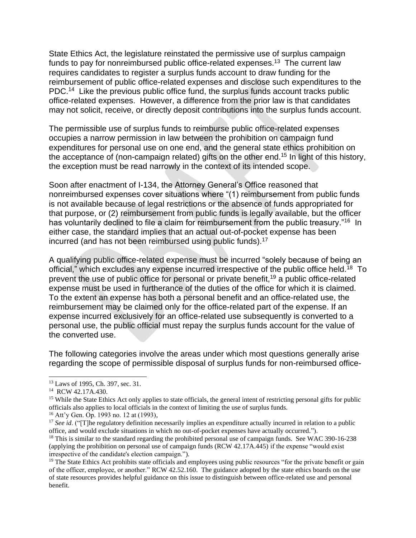State Ethics Act, the legislature reinstated the permissive use of surplus campaign funds to pay for nonreimbursed public office-related expenses.<sup>13</sup> The current law requires candidates to register a surplus funds account to draw funding for the reimbursement of public office-related expenses and disclose such expenditures to the PDC.<sup>14</sup> Like the previous public office fund, the surplus funds account tracks public office-related expenses. However, a difference from the prior law is that candidates may not solicit, receive, or directly deposit contributions into the surplus funds account.

The permissible use of surplus funds to reimburse public office-related expenses occupies a narrow permission in law between the prohibition on campaign fund expenditures for personal use on one end, and the general state ethics prohibition on the acceptance of (non-campaign related) gifts on the other end.<sup>15</sup> In light of this history, the exception must be read narrowly in the context of its intended scope.

Soon after enactment of I-134, the Attorney General's Office reasoned that nonreimbursed expenses cover situations where "(1) reimbursement from public funds is not available because of legal restrictions or the absence of funds appropriated for that purpose, or (2) reimbursement from public funds is legally available, but the officer has voluntarily declined to file a claim for reimbursement from the public treasury."<sup>16</sup> In either case, the standard implies that an actual out-of-pocket expense has been incurred (and has not been reimbursed using public funds). 17

A qualifying public office-related expense must be incurred "solely because of being an official," which excludes any expense incurred irrespective of the public office held.<sup>18</sup> To prevent the use of public office for personal or private benefit,<sup>19</sup> a public office-related expense must be used in furtherance of the duties of the office for which it is claimed. To the extent an expense has both a personal benefit and an office-related use, the reimbursement may be claimed only for the office-related part of the expense. If an expense incurred exclusively for an office-related use subsequently is converted to a personal use, the public official must repay the surplus funds account for the value of the converted use.

The following categories involve the areas under which most questions generally arise regarding the scope of permissible disposal of surplus funds for non-reimbursed office-

<sup>13</sup> Laws of 1995, Ch. 397, sec. 31.

<sup>&</sup>lt;sup>14</sup> RCW 42.17A.430.

<sup>&</sup>lt;sup>15</sup> While the State Ethics Act only applies to state officials, the general intent of restricting personal gifts for public officials also applies to local officials in the context of limiting the use of surplus funds.

<sup>16</sup> Att'y Gen. Op. 1993 no. 12 at (1993),

<sup>&</sup>lt;sup>17</sup> See id. ("[T]he regulatory definition necessarily implies an expenditure actually incurred in relation to a public office, and would exclude situations in which no out-of-pocket expenses have actually occurred.").

<sup>&</sup>lt;sup>18</sup> This is similar to the standard regarding the prohibited personal use of campaign funds. See WAC 390-16-238 (applying the prohibition on personal use of campaign funds (RCW 42.17A.445) if the expense "would exist irrespective of the candidate's election campaign.").

<sup>&</sup>lt;sup>19</sup> The State Ethics Act prohibits state officials and employees using public resources "for the private benefit or gain of the officer, employee, or another." RCW 42.52.160. The guidance adopted by the state ethics boards on the use of state resources provides helpful guidance on this issue to distinguish between office-related use and personal benefit.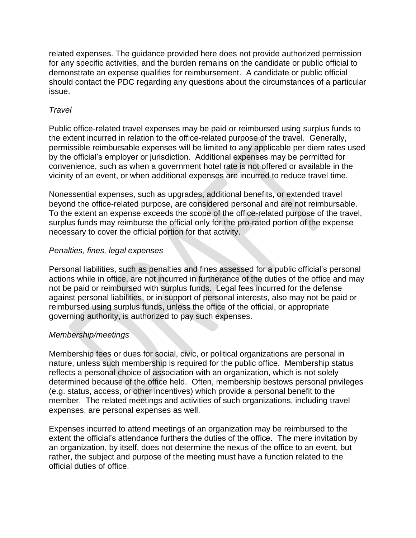related expenses. The guidance provided here does not provide authorized permission for any specific activities, and the burden remains on the candidate or public official to demonstrate an expense qualifies for reimbursement. A candidate or public official should contact the PDC regarding any questions about the circumstances of a particular issue.

## *Travel*

Public office-related travel expenses may be paid or reimbursed using surplus funds to the extent incurred in relation to the office-related purpose of the travel. Generally, permissible reimbursable expenses will be limited to any applicable per diem rates used by the official's employer or jurisdiction. Additional expenses may be permitted for convenience, such as when a government hotel rate is not offered or available in the vicinity of an event, or when additional expenses are incurred to reduce travel time.

Nonessential expenses, such as upgrades, additional benefits, or extended travel beyond the office-related purpose, are considered personal and are not reimbursable. To the extent an expense exceeds the scope of the office-related purpose of the travel, surplus funds may reimburse the official only for the pro-rated portion of the expense necessary to cover the official portion for that activity.

#### *Penalties, fines, legal expenses*

Personal liabilities, such as penalties and fines assessed for a public official's personal actions while in office, are not incurred in furtherance of the duties of the office and may not be paid or reimbursed with surplus funds. Legal fees incurred for the defense against personal liabilities, or in support of personal interests, also may not be paid or reimbursed using surplus funds, unless the office of the official, or appropriate governing authority, is authorized to pay such expenses.

# *Membership/meetings*

Membership fees or dues for social, civic, or political organizations are personal in nature, unless such membership is required for the public office. Membership status reflects a personal choice of association with an organization, which is not solely determined because of the office held. Often, membership bestows personal privileges (e.g. status, access, or other incentives) which provide a personal benefit to the member. The related meetings and activities of such organizations, including travel expenses, are personal expenses as well.

Expenses incurred to attend meetings of an organization may be reimbursed to the extent the official's attendance furthers the duties of the office. The mere invitation by an organization, by itself, does not determine the nexus of the office to an event, but rather, the subject and purpose of the meeting must have a function related to the official duties of office.